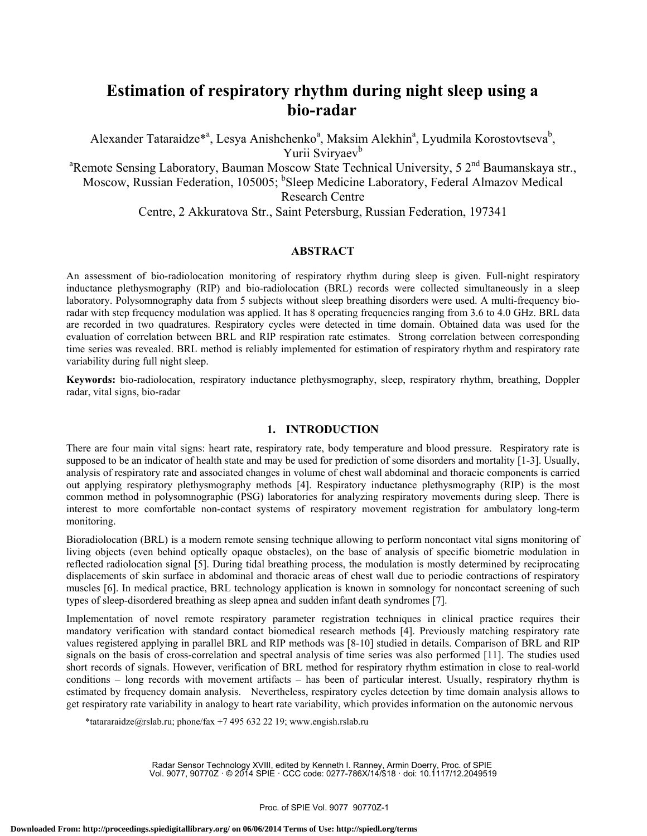# **Estimation of respiratory rhythm during night sleep using a bio-radar**

Alexander Tataraidze<sup>\*a</sup>, Lesya Anishchenko<sup>a</sup>, Maksim Alekhin<sup>a</sup>, Lyudmila Korostovtseva<sup>b</sup>, Yurii Sviryaev<sup>b</sup> <sup>a</sup>Remote Sensing Laboratory, Bauman Moscow State Technical University, 5 2<sup>nd</sup> Baumanskaya str., Moscow, Russian Federation, 105005; <sup>b</sup>Sleep Medicine Laboratory, Federal Almazov Medical Research Centre

Centre, 2 Akkuratova Str., Saint Petersburg, Russian Federation, 197341

# **ABSTRACT**

An assessment of bio-radiolocation monitoring of respiratory rhythm during sleep is given. Full-night respiratory inductance plethysmography (RIP) and bio-radiolocation (BRL) records were collected simultaneously in a sleep laboratory. Polysomnography data from 5 subjects without sleep breathing disorders were used. A multi-frequency bioradar with step frequency modulation was applied. It has 8 operating frequencies ranging from 3.6 to 4.0 GHz. BRL data are recorded in two quadratures. Respiratory cycles were detected in time domain. Obtained data was used for the evaluation of correlation between BRL and RIP respiration rate estimates. Strong correlation between corresponding time series was revealed. BRL method is reliably implemented for estimation of respiratory rhythm and respiratory rate variability during full night sleep.

**Keywords:** bio-radiolocation, respiratory inductance plethysmography, sleep, respiratory rhythm, breathing, Doppler radar, vital signs, bio-radar

# **1. INTRODUCTION**

There are four main vital signs: heart rate, respiratory rate, body temperature and blood pressure. Respiratory rate is supposed to be an indicator of health state and may be used for prediction of some disorders and mortality [1-3]. Usually, analysis of respiratory rate and associated changes in volume of chest wall abdominal and thoracic components is carried out applying respiratory plethysmography methods [4]. Respiratory inductance plethysmography (RIP) is the most common method in polysomnographic (PSG) laboratories for analyzing respiratory movements during sleep. There is interest to more comfortable non-contact systems of respiratory movement registration for ambulatory long-term monitoring.

Bioradiolocation (BRL) is a modern remote sensing technique allowing to perform noncontact vital signs monitoring of living objects (even behind optically opaque obstacles), on the base of analysis of specific biometric modulation in reflected radiolocation signal [5]. During tidal breathing process, the modulation is mostly determined by reciprocating displacements of skin surface in abdominal and thoracic areas of chest wall due to periodic contractions of respiratory muscles [6]. In medical practice, BRL technology application is known in somnology for noncontact screening of such types of sleep-disordered breathing as sleep apnea and sudden infant death syndromes [7].

Implementation of novel remote respiratory parameter registration techniques in clinical practice requires their mandatory verification with standard contact biomedical research methods [4]. Previously matching respiratory rate values registered applying in parallel BRL and RIP methods was [8-10] studied in details. Comparison of BRL and RIP signals on the basis of cross-correlation and spectral analysis of time series was also performed [11]. The studies used short records of signals. However, verification of BRL method for respiratory rhythm estimation in close to real-world conditions – long records with movement artifacts – has been of particular interest. Usually, respiratory rhythm is estimated by frequency domain analysis. Nevertheless, respiratory cycles detection by time domain analysis allows to get respiratory rate variability in analogy to heart rate variability, which provides information on the autonomic nervous

\*tatararaidze@rslab.ru; phone/fax +7 495 632 22 19; www.engish.rslab.ru

Radar Sensor Technology XVIII, edited by Kenneth I. Ranney, Armin Doerry, Proc. of SPIE Vol. 9077, 90770Z · © 2014 SPIE · CCC code: 0277-786X/14/\$18 · doi: 10.1117/12.2049519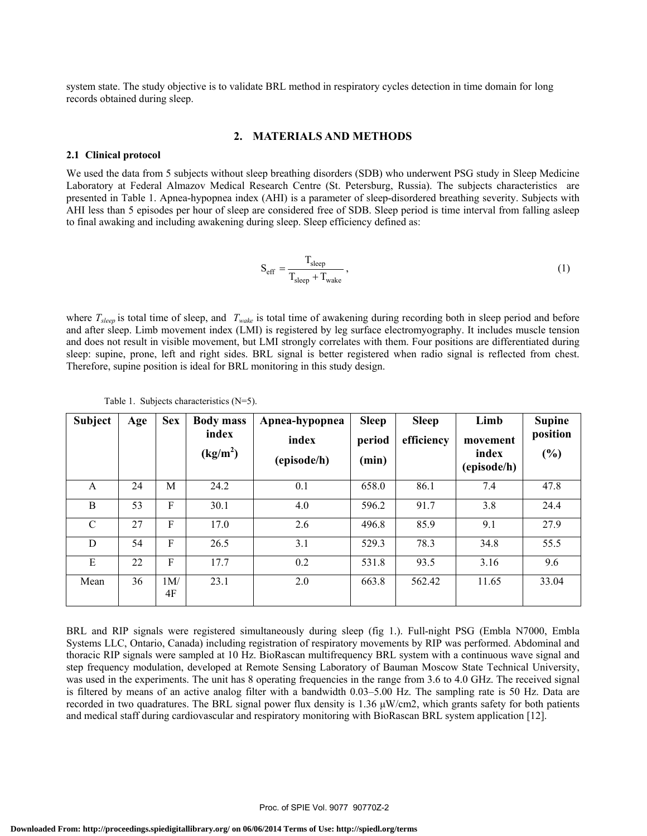system state. The study objective is to validate BRL method in respiratory cycles detection in time domain for long records obtained during sleep.

#### **2. MATERIALS AND METHODS**

#### **2.1 Clinical protocol**

We used the data from 5 subjects without sleep breathing disorders (SDB) who underwent PSG study in Sleep Medicine Laboratory at Federal Almazov Medical Research Centre (St. Petersburg, Russia). The subjects characteristics are presented in Table 1. Apnea-hypopnea index (AHI) is a parameter of sleep-disordered breathing severity. Subjects with AHI less than 5 episodes per hour of sleep are considered free of SDB. Sleep period is time interval from falling asleep to final awaking and including awakening during sleep. Sleep efficiency defined as:

$$
S_{eff} = \frac{T_{sleep}}{T_{sleep} + T_{wake}},
$$
\n(1)

where  $T_{sleep}$  is total time of sleep, and  $T_{wake}$  is total time of awakening during recording both in sleep period and before and after sleep. Limb movement index (LMI) is registered by leg surface electromyography. It includes muscle tension and does not result in visible movement, but LMI strongly correlates with them. Four positions are differentiated during sleep: supine, prone, left and right sides. BRL signal is better registered when radio signal is reflected from chest. Therefore, supine position is ideal for BRL monitoring in this study design.

| <b>Subject</b> | Age | <b>Sex</b> | <b>Body mass</b><br>index<br>(kg/m <sup>2</sup> ) | Apnea-hypopnea<br>index<br>(episode/h) | <b>Sleep</b><br>period<br>(min) | <b>Sleep</b><br>efficiency | Limb<br>movement<br>index<br>(episode/h) | <b>Supine</b><br>position<br>(%) |
|----------------|-----|------------|---------------------------------------------------|----------------------------------------|---------------------------------|----------------------------|------------------------------------------|----------------------------------|
| A              | 24  | M          | 24.2                                              | 0.1                                    | 658.0                           | 86.1                       | 7.4                                      | 47.8                             |
| B              | 53  | F          | 30.1                                              | 4.0                                    | 596.2                           | 91.7                       | 3.8                                      | 24.4                             |
| $\mathcal{C}$  | 27  | F          | 17.0                                              | 2.6                                    | 496.8                           | 85.9                       | 9.1                                      | 27.9                             |
| D              | 54  | F          | 26.5                                              | 3.1                                    | 529.3                           | 78.3                       | 34.8                                     | 55.5                             |
| E              | 22  | F          | 17.7                                              | 0.2                                    | 531.8                           | 93.5                       | 3.16                                     | 9.6                              |
| Mean           | 36  | 1M/<br>4F  | 23.1                                              | 2.0                                    | 663.8                           | 562.42                     | 11.65                                    | 33.04                            |

Table 1. Subjects characteristics (N=5).

BRL and RIP signals were registered simultaneously during sleep (fig 1.). Full-night PSG (Embla N7000, Embla Systems LLC, Ontario, Canada) including registration of respiratory movements by RIP was performed. Abdominal and thoracic RIP signals were sampled at 10 Hz. BioRascan multifrequency BRL system with a continuous wave signal and step frequency modulation, developed at Remote Sensing Laboratory of Bauman Moscow State Technical University, was used in the experiments. The unit has 8 operating frequencies in the range from 3.6 to 4.0 GHz. The received signal is filtered by means of an active analog filter with a bandwidth 0.03–5.00 Hz. The sampling rate is 50 Hz. Data are recorded in two quadratures. The BRL signal power flux density is 1.36 μW/cm2, which grants safety for both patients and medical staff during cardiovascular and respiratory monitoring with BioRascan BRL system application [12].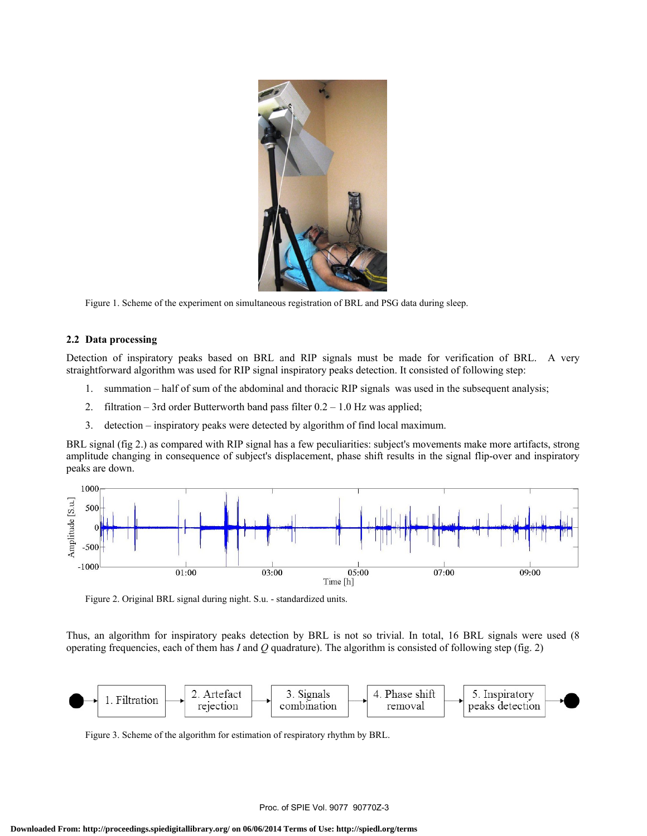

Figure 1. Scheme of the experiment on simultaneous registration of BRL and PSG data during sleep.

## **2.2 Data processing**

Detection of inspiratory peaks based on BRL and RIP signals must be made for verification of BRL. A very straightforward algorithm was used for RIP signal inspiratory peaks detection. It consisted of following step:

- 1. summation half of sum of the abdominal and thoracic RIP signals was used in the subsequent analysis;
- 2. filtration 3rd order Butterworth band pass filter 0.2 1.0 Hz was applied;
- 3. detection inspiratory peaks were detected by algorithm of find local maximum.

BRL signal (fig 2.) as compared with RIP signal has a few peculiarities: subject's movements make more artifacts, strong amplitude changing in consequence of subject's displacement, phase shift results in the signal flip-over and inspiratory peaks are down.



Figure 2. Original BRL signal during night. S.u. - standardized units.

Thus, an algorithm for inspiratory peaks detection by BRL is not so trivial. In total, 16 BRL signals were used (8 operating frequencies, each of them has *I* and *Q* quadrature). The algorithm is consisted of following step (fig. 2)



Figure 3. Scheme of the algorithm for estimation of respiratory rhythm by BRL.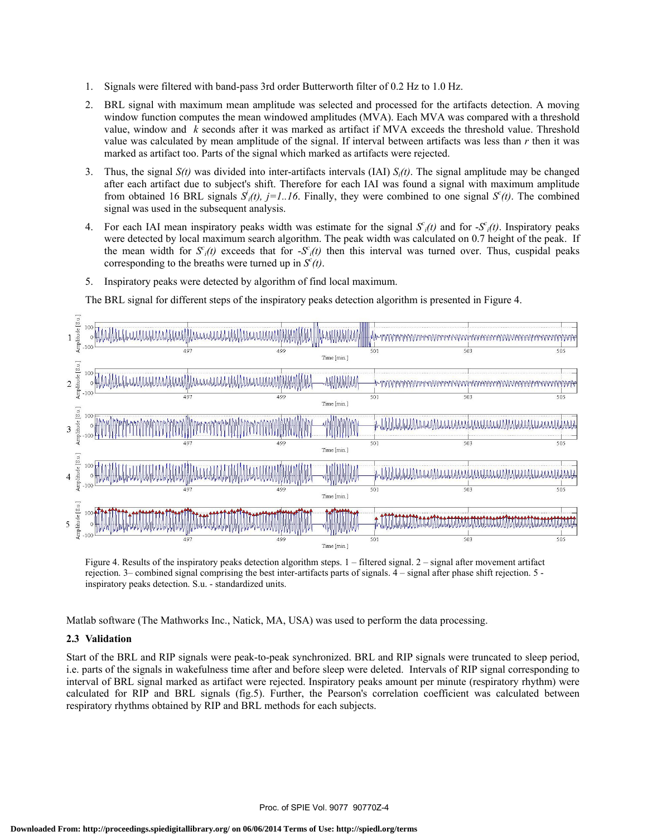- 1. Signals were filtered with band-pass 3rd order Butterworth filter of 0.2 Hz to 1.0 Hz.
- 2. BRL signal with maximum mean amplitude was selected and processed for the artifacts detection. A moving window function computes the mean windowed amplitudes (MVA). Each MVA was compared with a threshold value, window and *k* seconds after it was marked as artifact if MVA exceeds the threshold value. Threshold value was calculated by mean amplitude of the signal. If interval between artifacts was less than *r* then it was marked as artifact too. Parts of the signal which marked as artifacts were rejected.
- 3. Thus, the signal *S(t)* was divided into inter-artifacts intervals (IAI) *Si(t)*. The signal amplitude may be changed after each artifact due to subject's shift. Therefore for each IAI was found a signal with maximum amplitude from obtained 16 BRL signals  $S_i(t)$ ,  $j=1..16$ . Finally, they were combined to one signal  $S'(t)$ . The combined signal was used in the subsequent analysis.
- 4. For each IAI mean inspiratory peaks width was estimate for the signal  $S<sub>i</sub>(t)$  and for  $-S<sub>i</sub>(t)$ . Inspiratory peaks were detected by local maximum search algorithm. The peak width was calculated on 0.7 height of the peak. If the mean width for  $S<sub>i</sub>(t)$  exceeds that for  $-S<sub>i</sub>(t)$  then this interval was turned over. Thus, cuspidal peaks corresponding to the breaths were turned up in  $S<sup>c</sup>(t)$ .
- 5. Inspiratory peaks were detected by algorithm of find local maximum.

The BRL signal for different steps of the inspiratory peaks detection algorithm is presented in Figure 4.



Figure 4. Results of the inspiratory peaks detection algorithm steps. 1 – filtered signal. 2 – signal after movement artifact rejection. 3– combined signal comprising the best inter-artifacts parts of signals. 4 – signal after phase shift rejection. 5 inspiratory peaks detection. S.u. - standardized units.

Matlab software (The Mathworks Inc., Natick, MA, USA) was used to perform the data processing.

## **2.3 Validation**

Start of the BRL and RIP signals were peak-to-peak synchronized. BRL and RIP signals were truncated to sleep period, i.e. parts of the signals in wakefulness time after and before sleep were deleted. Intervals of RIP signal corresponding to interval of BRL signal marked as artifact were rejected. Inspiratory peaks amount per minute (respiratory rhythm) were calculated for RIP and BRL signals (fig.5). Further, the Pearson's correlation coefficient was calculated between respiratory rhythms obtained by RIP and BRL methods for each subjects.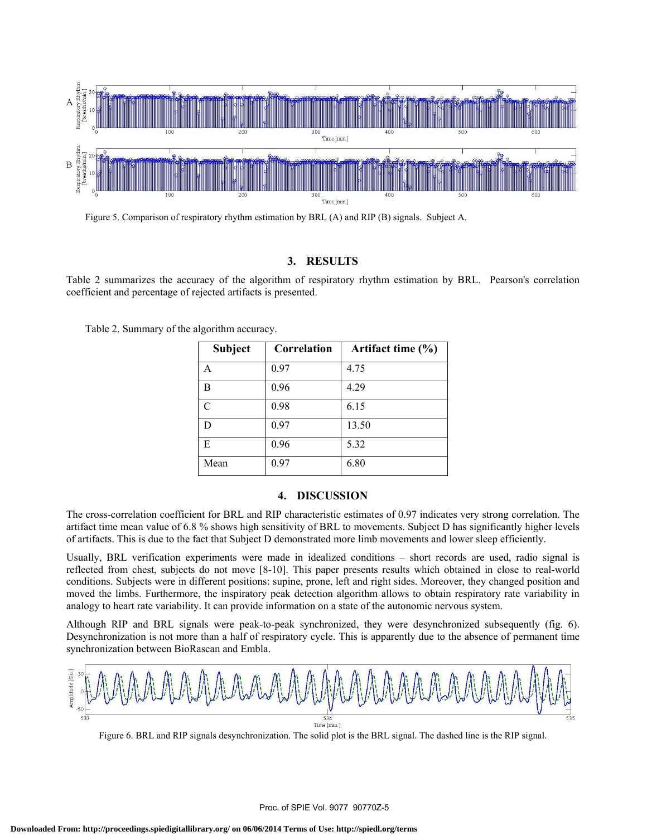

Figure 5. Comparison of respiratory rhythm estimation by BRL (A) and RIP (B) signals. Subject A.

# **3. RESULTS**

Table 2 summarizes the accuracy of the algorithm of respiratory rhythm estimation by BRL. Pearson's correlation coefficient and percentage of rejected artifacts is presented.

|  |  |  |  | Table 2. Summary of the algorithm accuracy. |
|--|--|--|--|---------------------------------------------|
|--|--|--|--|---------------------------------------------|

| <b>Subject</b> | Correlation | Artifact time $(\% )$ |
|----------------|-------------|-----------------------|
| A              | 0.97        | 4.75                  |
| B              | 0.96        | 4.29                  |
| $\mathcal{C}$  | 0.98        | 6.15                  |
| D              | 0.97        | 13.50                 |
| E              | 0.96        | 5.32                  |
| Mean           | 0.97        | 6.80                  |

## **4. DISCUSSION**

The cross-correlation coefficient for BRL and RIP characteristic estimates of 0.97 indicates very strong correlation. The artifact time mean value of 6.8 % shows high sensitivity of BRL to movements. Subject D has significantly higher levels of artifacts. This is due to the fact that Subject D demonstrated more limb movements and lower sleep efficiently.

Usually, BRL verification experiments were made in idealized conditions – short records are used, radio signal is reflected from chest, subjects do not move [8-10]. This paper presents results which obtained in close to real-world conditions. Subjects were in different positions: supine, prone, left and right sides. Moreover, they changed position and moved the limbs. Furthermore, the inspiratory peak detection algorithm allows to obtain respiratory rate variability in analogy to heart rate variability. It can provide information on a state of the autonomic nervous system.

Although RIP and BRL signals were peak-to-peak synchronized, they were desynchronized subsequently (fig. 6). Desynchronization is not more than a half of respiratory cycle. This is apparently due to the absence of permanent time synchronization between BioRascan and Embla.



Figure 6. BRL and RIP signals desynchronization. The solid plot is the BRL signal. The dashed line is the RIP signal.